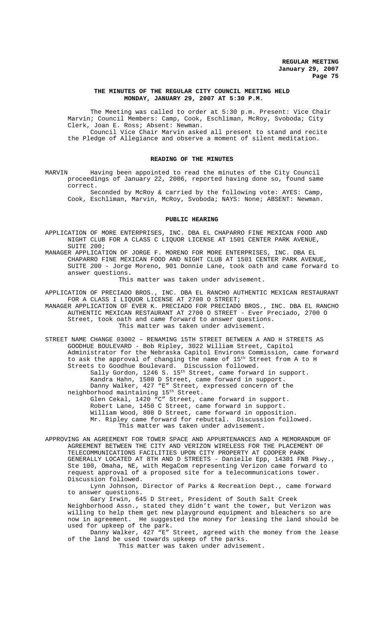#### **THE MINUTES OF THE REGULAR CITY COUNCIL MEETING HELD MONDAY, JANUARY 29, 2007 AT 5:30 P.M.**

The Meeting was called to order at 5:30 p.m. Present: Vice Chair Marvin; Council Members: Camp, Cook, Eschliman, McRoy, Svoboda; City Clerk, Joan E. Ross; Absent: Newman. Council Vice Chair Marvin asked all present to stand and recite the Pledge of Allegiance and observe a moment of silent meditation.

# **READING OF THE MINUTES**

MARVIN Having been appointed to read the minutes of the City Council proceedings of January 22, 2006, reported having done so, found same correct.

Seconded by McRoy & carried by the following vote: AYES: Camp, Cook, Eschliman, Marvin, McRoy, Svoboda; NAYS: None; ABSENT: Newman.

#### **PUBLIC HEARING**

APPLICATION OF MORE ENTERPRISES, INC. DBA EL CHAPARRO FINE MEXICAN FOOD AND NIGHT CLUB FOR A CLASS C LIQUOR LICENSE AT 1501 CENTER PARK AVENUE, SUITE 200;

MANAGER APPLICATION OF JORGE F. MORENO FOR MORE ENTERPRISES, INC. DBA EL CHAPARRO FINE MEXICAN FOOD AND NIGHT CLUB AT 1501 CENTER PARK AVENUE, SUITE 200 - Jorge Moreno, 901 Donnie Lane, took oath and came forward to answer questions.

This matter was taken under advisement.

APPLICATION OF PRECIADO BROS., INC. DBA EL RANCHO AUTHENTIC MEXICAN RESTAURANT FOR A CLASS I LIQUOR LICENSE AT 2700 O STREET;

MANAGER APPLICATION OF EVER K. PRECIADO FOR PRECIADO BROS., INC. DBA EL RANCHO AUTHENTIC MEXICAN RESTAURANT AT 2700 O STREET - Ever Preciado, 2700 O Street, took oath and came forward to answer questions. This matter was taken under advisement.

STREET NAME CHANGE 03002 – RENAMING 15TH STREET BETWEEN A AND H STREETS AS GOODHUE BOULEVARD - Bob Ripley, 3022 William Street, Capitol Administrator for the Nebraska Capitol Environs Commission, came forward to ask the approval of changing the name of 15th Street from A to H Streets to Goodhue Boulevard. Discussion followed. Sally Gordon, 1246 S. 15<sup>th</sup> Street, came forward in support. Kandra Hahn, 1500 D Street, came forward in support. Danny Walker, 427 "E" Street, expressed concern of the neighborhood maintaining 15th Street. Glen Cekal, 1420 "C" Street, came forward in support. Robert Lane, 1450 C Street, came forward in support. William Wood, 808 D Street, came forward in opposition. Mr. Ripley came forward for rebuttal. Discussion followed. This matter was taken under advisement.

APPROVING AN AGREEMENT FOR TOWER SPACE AND APPURTENANCES AND A MEMORANDUM OF AGREEMENT BETWEEN THE CITY AND VERIZON WIRELESS FOR THE PLACEMENT OF TELECOMMUNICATIONS FACILITIES UPON CITY PROPERTY AT COOPER PARK GENERALLY LOCATED AT 8TH AND D STREETS - Danielle Epp, 14301 FNB Pkwy., Ste 100, Omaha, NE, with MegaCom representing Verizon came forward to request approval of a proposed site for a telecommunications tower. Discussion followed.

Lynn Johnson, Director of Parks & Recreation Dept., came forward to answer questions.

Gary Irwin, 645 D Street, President of South Salt Creek Neighborhood Assn., stated they didn't want the tower, but Verizon was willing to help them get new playground equipment and bleachers so are now in agreement. He suggested the money for leasing the land should be used for upkeep of the park.

Danny Walker, 427 "E" Street, agreed with the money from the lease of the land be used towards upkeep of the parks.

This matter was taken under advisement.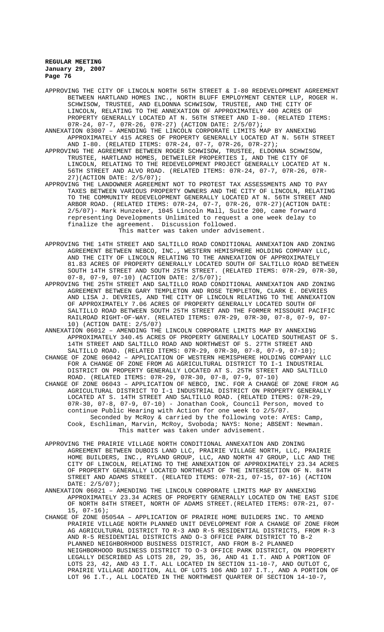- APPROVING THE CITY OF LINCOLN NORTH 56TH STREET & I-80 REDEVELOPMENT AGREEMENT BETWEEN HARTLAND HOMES INC., NORTH BLUFF EMPLOYMENT CENTER LLP, ROGER H. SCHWISOW, TRUSTEE, AND ELDONNA SCHWISOW, TRUSTEE, AND THE CITY OF LINCOLN, RELATING TO THE ANNEXATION OF APPROXIMATELY 400 ACRES OF PROPERTY GENERALLY LOCATED AT N. 56TH STREET AND I-80. (RELATED ITEMS: 07R-24, 07-7, 07R-26, 07R-27) (ACTION DATE: 2/5/07);
- ANNEXATION 03007 AMENDING THE LINCOLN CORPORATE LIMITS MAP BY ANNEXING APPROXIMATELY 415 ACRES OF PROPERTY GENERALLY LOCATED AT N. 56TH STREET AND I-80. (RELATED ITEMS: 07R-24, 07-7, 07R-26, 07R-27);
- APPROVING THE AGREEMENT BETWEEN ROGER SCHWISOW, TRUSTEE, ELDONNA SCHWISOW, TRUSTEE, HARTLAND HOMES, DETWEILER PROPERTIES I, AND THE CITY OF LINCOLN, RELATING TO THE REDEVELOPMENT PROJECT GENERALLY LOCATED AT N. 56TH STREET AND ALVO ROAD. (RELATED ITEMS: 07R-24, 07-7, 07R-26, 07R-27)(ACTION DATE: 2/5/07);
- APPROVING THE LANDOWNER AGREEMENT NOT TO PROTEST TAX ASSESSMENTS AND TO PAY TAXES BETWEEN VARIOUS PROPERTY OWNERS AND THE CITY OF LINCOLN, RELATING TO THE COMMUNITY REDEVELOPMENT GENERALLY LOCATED AT N. 56TH STREET AND ARBOR ROAD. (RELATED ITEMS: 07R-24, 07-7, 07R-26, 07R-27)(ACTION DATE: 2/5/07)- Mark Hunzeker, 1045 Lincoln Mall, Suite 200, came forward representing Developments Unlimited to request a one week delay to finalize the agreement. Discussion followed. This matter was taken under advisement.
- APPROVING THE 14TH STREET AND SALTILLO ROAD CONDITIONAL ANNEXATION AND ZONING AGREEMENT BETWEEN NEBCO, INC., WESTERN HEMISPHERE HOLDING COMPANY LLC, AND THE CITY OF LINCOLN RELATING TO THE ANNEXATION OF APPROXIMATELY 81.83 ACRES OF PROPERTY GENERALLY LOCATED SOUTH OF SALTILLO ROAD BETWEEN SOUTH 14TH STREET AND SOUTH 25TH STREET. (RELATED ITEMS: 07R-29, 07R-30, 07-8, 07-9, 07-10) (ACTION DATE: 2/5/07);
- APPROVING THE 25TH STREET AND SALTILLO ROAD CONDITIONAL ANNEXATION AND ZONING AGREEMENT BETWEEN GARY TEMPLETON AND ROSE TEMPLETON, CLARK E. DEVRIES AND LISA J. DEVRIES, AND THE CITY OF LINCOLN RELATING TO THE ANNEXATION OF APPROXIMATELY 7.06 ACRES OF PROPERTY GENERALLY LOCATED SOUTH OF SALTILLO ROAD BETWEEN SOUTH 25TH STREET AND THE FORMER MISSOURI PACIFIC RAILROAD RIGHT-OF-WAY. (RELATED ITEMS: 07R-29, 07R-30, 07-8, 07-9, 07- 10) (ACTION DATE: 2/5/07)
- ANNEXATION 06012 AMENDING THE LINCOLN CORPORATE LIMITS MAP BY ANNEXING APPROXIMATELY 340.45 ACRES OF PROPERTY GENERALLY LOCATED SOUTHEAST OF S. 14TH STREET AND SALTILLO ROAD AND NORTHWEST OF S. 27TH STREET AND SALTILLO ROAD. (RELATED ITEMS: 07R-29, 07R-30, 07-8, 07-9, 07-10);
- CHANGE OF ZONE 06042 APPLICATION OF WESTERN HEMISPHERE HOLDING COMPANY LLC FOR A CHANGE OF ZONE FROM AG AGRICULTURAL DISTRICT TO I-1 INDUSTRIAL DISTRICT ON PROPERTY GENERALLY LOCATED AT S. 25TH STREET AND SALTILLO ROAD. (RELATED ITEMS: 07R-29, 07R-30, 07-8, 07-9, 07-10)
- CHANGE OF ZONE 06043 APPLICATION OF NEBCO, INC. FOR A CHANGE OF ZONE FROM AG AGRICULTURAL DISTRICT TO I-1 INDUSTRIAL DISTRICT ON PROPERTY GENERALLY LOCATED AT S. 14TH STREET AND SALTILLO ROAD. (RELATED ITEMS: 07R-29, 07R-30, 07-8, 07-9, 07-10) - Jonathan Cook, Council Person, moved to continue Public Hearing with Action for one week to 2/5/07. Seconded by McRoy & carried by the following vote: AYES: Camp, Cook, Eschliman, Marvin, McRoy, Svoboda; NAYS: None; ABSENT: Newman. This matter was taken under advisement.
- APPROVING THE PRAIRIE VILLAGE NORTH CONDITIONAL ANNEXATION AND ZONING AGREEMENT BETWEEN DUBOIS LAND LLC, PRAIRIE VILLAGE NORTH, LLC, PRAIRIE HOME BUILDERS, INC., RYLAND GROUP, LLC, AND NORTH 47 GROUP, LLC AND THE CITY OF LINCOLN, RELATING TO THE ANNEXATION OF APPROXIMATELY 23.34 ACRES OF PROPERTY GENERALLY LOCATED NORTHEAST OF THE INTERSECTION OF N. 84TH STREET AND ADAMS STREET. (RELATED ITEMS: 07R-21, 07-15, 07-16) (ACTION DATE: 2/5/07);
- ANNEXATION 06021 AMENDING THE LINCOLN CORPORATE LIMITS MAP BY ANNEXING APPROXIMATELY 23.34 ACRES OF PROPERTY GENERALLY LOCATED ON THE EAST SIDE OF NORTH 84TH STREET, NORTH OF ADAMS STREET.(RELATED ITEMS: 07R-21, 07- 15, 07-16);
- CHANGE OF ZONE 05054A APPLICATION OF PRAIRIE HOME BUILDERS INC. TO AMEND PRAIRIE VILLAGE NORTH PLANNED UNIT DEVELOPMENT FOR A CHANGE OF ZONE FROM AG AGRICULTURAL DISTRICT TO R-3 AND R-5 RESIDENTIAL DISTRICTS, FROM R-3 AND R-5 RESIDENTIAL DISTRICTS AND O-3 OFFICE PARK DISTRICT TO B-2 PLANNED NEIGHBORHOOD BUSINESS DISTRICT, AND FROM B-2 PLANNED NEIGHBORHOOD BUSINESS DISTRICT TO O-3 OFFICE PARK DISTRICT, ON PROPERTY LEGALLY DESCRIBED AS LOTS 28, 29, 35, 36, AND 41 I.T. AND A PORTION OF LOTS 23, 42, AND 43 I.T. ALL LOCATED IN SECTION 11-10-7, AND OUTLOT C, PRAIRIE VILLAGE ADDITION, ALL OF LOTS 106 AND 107 I.T., AND A PORTION OF LOT 96 I.T., ALL LOCATED IN THE NORTHWEST QUARTER OF SECTION 14-10-7,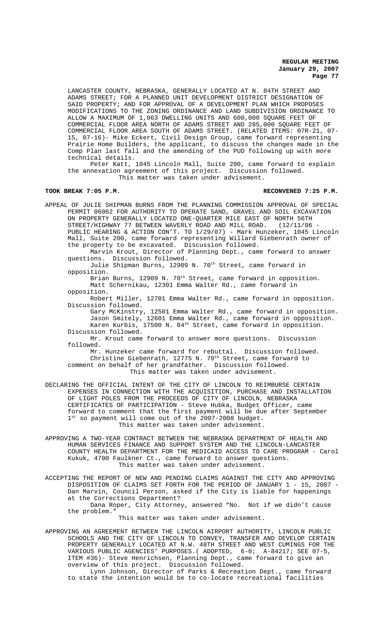LANCASTER COUNTY, NEBRASKA, GENERALLY LOCATED AT N. 84TH STREET AND ADAMS STREET; FOR A PLANNED UNIT DEVELOPMENT DISTRICT DESIGNATION OF SAID PROPERTY; AND FOR APPROVAL OF A DEVELOPMENT PLAN WHICH PROPOSES MODIFICATIONS TO THE ZONING ORDINANCE AND LAND SUBDIVISION ORDINANCE TO ALLOW A MAXIMUM OF 1,063 DWELLING UNITS AND 600,000 SQUARE FEET OF COMMERCIAL FLOOR AREA NORTH OF ADAMS STREET AND 285,000 SQUARE FEET OF COMMERCIAL FLOOR AREA SOUTH OF ADAMS STREET. (RELATED ITEMS: 07R-21, 07- 15, 07-16)- Mike Eckert, Civil Design Group, came forward representing Prairie Home Builders, the applicant, to discuss the changes made in the Comp Plan last fall and the amending of the PUD following up with more technical details.

Peter Katt, 1045 Lincoln Mall, Suite 200, came forward to explain the annexation agreement of this project. Discussion followed. This matter was taken under advisement.

### **TOOK BREAK 7:05 P.M. RECONVENED 7:25 P.M.**

APPEAL OF JULIE SHIPMAN BURNS FROM THE PLANNING COMMISSION APPROVAL OF SPECIAL PERMIT 06062 FOR AUTHORITY TO OPERATE SAND, GRAVEL AND SOIL EXCAVATION ON PROPERTY GENERALLY LOCATED ONE-QUARTER MILE EAST OF NORTH 56TH<br>STREET/HIGHWAY 77 BETWEEN WAVERLY ROAD AND MILL ROAD. (12/11/06 -STREET/HIGHWAY 77 BETWEEN WAVERLY ROAD AND MILL ROAD. PUBLIC HEARING & ACTION CON'T. TO 1/29/07) - Mark Hunzeker, 1045 Lincoln Mall, Suite 200, came forward representing Willard Giebenrath owner of the property to be excavated. Discussion followed. Marvin Krout, Director of Planning Dept., came forward to answer questions. Discussion followed.

Julie Shipman Burns, 12909 N. 70<sup>th</sup> Street, came forward in opposition.

Brian Burns, 12909 N. 70<sup>th</sup> Street, came forward in opposition. Matt Schernikau, 12301 Emma Walter Rd., came forward in opposition.

Robert Miller, 12701 Emma Walter Rd., came forward in opposition. Discussion followed.

Gary McKinstry, 12501 Emma Walter Rd., came forward in opposition. Jason Smitely, 12601 Emma Walter Rd., came forward in opposition. Karen Kurbis, 17500 N. 84th Street, came forward in opposition. Discussion followed.

Mr. Krout came forward to answer more questions. Discussion followed.

Mr. Hunzeker came forward for rebuttal. Discussion followed. Christine Giebenrath, 12775 N. 70<sup>th</sup> Street, came forward to comment on behalf of her grandfather. Discussion followed. This matter was taken under advisement.

DECLARING THE OFFICIAL INTENT OF THE CITY OF LINCOLN TO REIMBURSE CERTAIN EXPENSES IN CONNECTION WITH THE ACQUISITION, PURCHASE AND INSTALLATION OF LIGHT POLES FROM THE PROCEEDS OF CITY OF LINCOLN, NEBRASKA CERTIFICATES OF PARTICIPATION - Steve Hubka, Budget Officer, came forward to comment that the first payment will be due after September 1st so payment will come out of the 2007-2008 budget. This matter was taken under advisement.

APPROVING A TWO-YEAR CONTRACT BETWEEN THE NEBRASKA DEPARTMENT OF HEALTH AND HUMAN SERVICES FINANCE AND SUPPORT SYSTEM AND THE LINCOLN-LANCASTER COUNTY HEALTH DEPARTMENT FOR THE MEDICAID ACCESS TO CARE PROGRAM - Carol Kukuk, 4700 Faulkner Ct., came forward to answer questions. This matter was taken under advisement.

ACCEPTING THE REPORT OF NEW AND PENDING CLAIMS AGAINST THE CITY AND APPROVING DISPOSITION OF CLAIMS SET FORTH FOR THE PERIOD OF JANUARY 1 - 15, 2007 - Dan Marvin, Council Person, asked if the City is liable for happenings at the Corrections Department? Dana Roper, City Attorney, answered "No. Not if we didn't cause

the problem."

This matter was taken under advisement.

APPROVING AN AGREEMENT BETWEEN THE LINCOLN AIRPORT AUTHORITY, LINCOLN PUBLIC SCHOOLS AND THE CITY OF LINCOLN TO CONVEY, TRANSFER AND DEVELOP CERTAIN PROPERTY GENERALLY LOCATED AT N.W. 48TH STREET AND WEST CUMINGS FOR THE VARIOUS PUBLIC AGENCIES' PURPOSES.( ADOPTED, 6-0; A-84217; SEE 07-5, ITEM #36)- Steve Henrichsen, Planning Dept., came forward to give an overview of this project. Discussion followed.

Lynn Johnson, Director of Parks & Recreation Dept., came forward to state the intention would be to co-locate recreational facilities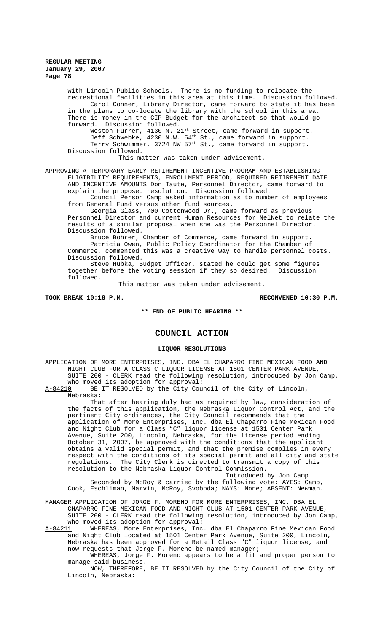with Lincoln Public Schools. There is no funding to relocate the recreational facilities in this area at this time. Discussion followed. Carol Conner, Library Director, came forward to state it has been in the plans to co-locate the library with the school in this area. There is money in the CIP Budget for the architect so that would go forward. Discussion followed. Weston Furrer, 4130 N. 21<sup>st</sup> Street, came forward in support.

Jeff Schwebke, 4230 N.W. 54<sup>th</sup> St., came forward in support. Terry Schwimmer, 3724 NW 57<sup>th</sup> St., came forward in support. Discussion followed.

This matter was taken under advisement.

APPROVING A TEMPORARY EARLY RETIREMENT INCENTIVE PROGRAM AND ESTABLISHING ELIGIBILITY REQUIREMENTS, ENROLLMENT PERIOD, REQUIRED RETIREMENT DATE AND INCENTIVE AMOUNTS Don Taute, Personnel Director, came forward to explain the proposed resolution. Discussion followed.

Council Person Camp asked information as to number of employees from General Fund versus other fund sources.

Georgia Glass, 700 Cottonwood Dr., came forward as previous Personnel Director and current Human Resources for NelNet to relate the results of a similar proposal when she was the Personnel Director. Discussion followed.

Bruce Bohrer, Chamber of Commerce, came forward in support. Patricia Owen, Public Policy Coordinator for the Chamber of Commerce, commented this was a creative way to handle personnel costs. Discussion followed.

Steve Hubka, Budget Officer, stated he could get some figures together before the voting session if they so desired. Discussion followed.

This matter was taken under advisement.

### **TOOK BREAK 10:18 P.M. RECONVENED 10:30 P.M.**

# **\*\* END OF PUBLIC HEARING \*\***

# **COUNCIL ACTION**

#### **LIQUOR RESOLUTIONS**

APPLICATION OF MORE ENTERPRISES, INC. DBA EL CHAPARRO FINE MEXICAN FOOD AND NIGHT CLUB FOR A CLASS C LIQUOR LICENSE AT 1501 CENTER PARK AVENUE, SUITE 200 - CLERK read the following resolution, introduced by Jon Camp, who moved its adoption for approval:

A-84210 BE IT RESOLVED by the City Council of the City of Lincoln, Nebraska:

That after hearing duly had as required by law, consideration of the facts of this application, the Nebraska Liquor Control Act, and the pertinent City ordinances, the City Council recommends that the application of More Enterprises, Inc. dba El Chaparro Fine Mexican Food and Night Club for a Class "C" liquor license at 1501 Center Park Avenue, Suite 200, Lincoln, Nebraska, for the license period ending October 31, 2007, be approved with the conditions that the applicant obtains a valid special permit, and that the premise complies in every respect with the conditions of its special permit and all city and state regulations. The City Clerk is directed to transmit a copy of this resolution to the Nebraska Liquor Control Commission.

Introduced by Jon Camp

Seconded by McRoy & carried by the following vote: AYES: Camp, Cook, Eschliman, Marvin, McRoy, Svoboda; NAYS: None; ABSENT: Newman.

MANAGER APPLICATION OF JORGE F. MORENO FOR MORE ENTERPRISES, INC. DBA EL CHAPARRO FINE MEXICAN FOOD AND NIGHT CLUB AT 1501 CENTER PARK AVENUE, SUITE 200 - CLERK read the following resolution, introduced by Jon Camp, who moved its adoption for approval:

A-84211 WHEREAS, More Enterprises, Inc. dba El Chaparro Fine Mexican Food and Night Club located at 1501 Center Park Avenue, Suite 200, Lincoln, Nebraska has been approved for a Retail Class "C" liquor license, and now requests that Jorge F. Moreno be named manager;

WHEREAS, Jorge F. Moreno appears to be a fit and proper person to manage said business.

NOW, THEREFORE, BE IT RESOLVED by the City Council of the City of Lincoln, Nebraska: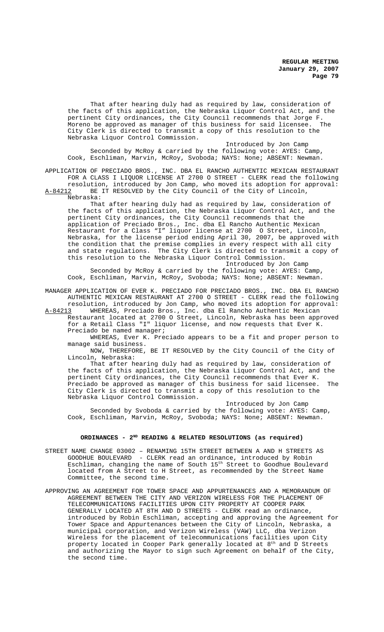That after hearing duly had as required by law, consideration of the facts of this application, the Nebraska Liquor Control Act, and the pertinent City ordinances, the City Council recommends that Jorge F.<br>Moreno be approved as manager of this business for said licensee. The Moreno be approved as manager of this business for said licensee. City Clerk is directed to transmit a copy of this resolution to the Nebraska Liquor Control Commission.

Introduced by Jon Camp Seconded by McRoy & carried by the following vote: AYES: Camp, Cook, Eschliman, Marvin, McRoy, Svoboda; NAYS: None; ABSENT: Newman.

APPLICATION OF PRECIADO BROS., INC. DBA EL RANCHO AUTHENTIC MEXICAN RESTAURANT FOR A CLASS I LIQUOR LICENSE AT 2700 O STREET - CLERK read the following resolution, introduced by Jon Camp, who moved its adoption for approval:

A-84212 BE IT RESOLVED by the City Council of the City of Lincoln, Nebraska:

That after hearing duly had as required by law, consideration of the facts of this application, the Nebraska Liquor Control Act, and the pertinent City ordinances, the City Council recommends that the application of Preciado Bros., Inc. dba El Rancho Authentic Mexican Restaurant for a Class "I" liquor license at 2700 O Street, Lincoln, Nebraska, for the license period ending April 30, 2007, be approved with the condition that the premise complies in every respect with all city and state regulations. The City Clerk is directed to transmit a copy of this resolution to the Nebraska Liquor Control Commission.

Introduced by Jon Camp Seconded by McRoy & carried by the following vote: AYES: Camp, Cook, Eschliman, Marvin, McRoy, Svoboda; NAYS: None; ABSENT: Newman.

MANAGER APPLICATION OF EVER K. PRECIADO FOR PRECIADO BROS., INC. DBA EL RANCHO AUTHENTIC MEXICAN RESTAURANT AT 2700 O STREET - CLERK read the following

resolution, introduced by Jon Camp, who moved its adoption for approval: A-84213 WHEREAS, Preciado Bros., Inc. dba El Rancho Authentic Mexican Restaurant located at 2700 O Street, Lincoln, Nebraska has been approved for a Retail Class "I" liquor license, and now requests that Ever K. Preciado be named manager;

WHEREAS, Ever K. Preciado appears to be a fit and proper person to manage said business.

NOW, THEREFORE, BE IT RESOLVED by the City Council of the City of Lincoln, Nebraska:

That after hearing duly had as required by law, consideration of the facts of this application, the Nebraska Liquor Control Act, and the pertinent City ordinances, the City Council recommends that Ever K. Preciado be approved as manager of this business for said licensee. The City Clerk is directed to transmit a copy of this resolution to the Nebraska Liquor Control Commission.

Introduced by Jon Camp Seconded by Svoboda & carried by the following vote: AYES: Camp, Cook, Eschliman, Marvin, McRoy, Svoboda; NAYS: None; ABSENT: Newman.

### ORDINANCES - 2<sup>ND</sup> READING & RELATED RESOLUTIONS (as required)

- STREET NAME CHANGE 03002 RENAMING 15TH STREET BETWEEN A AND H STREETS AS GOODHUE BOULEVARD - CLERK read an ordinance, introduced by Robin Eschliman, changing the name of South 15<sup>th</sup> Street to Goodhue Boulevard located from A Street to H Street, as recommended by the Street Name Committee, the second time.
- APPROVING AN AGREEMENT FOR TOWER SPACE AND APPURTENANCES AND A MEMORANDUM OF AGREEMENT BETWEEN THE CITY AND VERIZON WIRELESS FOR THE PLACEMENT OF TELECOMMUNICATIONS FACILITIES UPON CITY PROPERTY AT COOPER PARK GENERALLY LOCATED AT 8TH AND D STREETS - CLERK read an ordinance, introduced by Robin Eschliman, accepting and approving the Agreement for Tower Space and Appurtenances between the City of Lincoln, Nebraska, a municipal corporation, and Verizon Wireless (VAW) LLC, dba Verizon Wireless for the placement of telecommunications facilities upon City property located in Cooper Park generally located at 8<sup>th</sup> and D Streets and authorizing the Mayor to sign such Agreement on behalf of the City, the second time.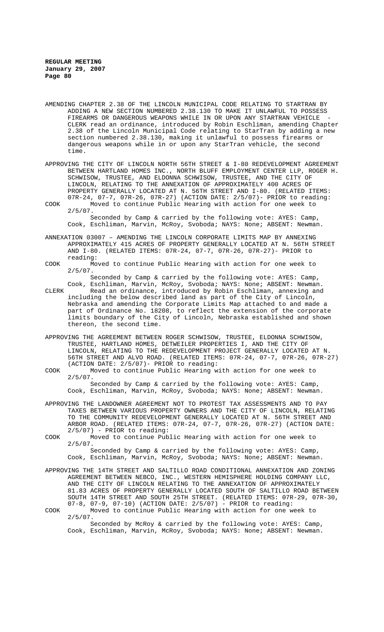- AMENDING CHAPTER 2.38 OF THE LINCOLN MUNICIPAL CODE RELATING TO STARTRAN BY ADDING A NEW SECTION NUMBERED 2.38.130 TO MAKE IT UNLAWFUL TO POSSESS FIREARMS OR DANGEROUS WEAPONS WHILE IN OR UPON ANY STARTRAN VEHICLE CLERK read an ordinance, introduced by Robin Eschliman, amending Chapter 2.38 of the Lincoln Municipal Code relating to StarTran by adding a new section numbered 2.38.130, making it unlawful to possess firearms or dangerous weapons while in or upon any StarTran vehicle, the second time.
- APPROVING THE CITY OF LINCOLN NORTH 56TH STREET & I-80 REDEVELOPMENT AGREEMENT BETWEEN HARTLAND HOMES INC., NORTH BLUFF EMPLOYMENT CENTER LLP, ROGER H. SCHWISOW, TRUSTEE, AND ELDONNA SCHWISOW, TRUSTEE, AND THE CITY OF LINCOLN, RELATING TO THE ANNEXATION OF APPROXIMATELY 400 ACRES OF PROPERTY GENERALLY LOCATED AT N. 56TH STREET AND I-80. (RELATED ITEMS: 07R-24, 07-7, 07R-26, 07R-27) (ACTION DATE: 2/5/07)- PRIOR to reading:
- COOK Moved to continue Public Hearing with action for one week to  $2/5/07$ . Seconded by Camp & carried by the following vote: AYES: Camp, Cook, Eschliman, Marvin, McRoy, Svoboda; NAYS: None; ABSENT: Newman.
- ANNEXATION 03007 AMENDING THE LINCOLN CORPORATE LIMITS MAP BY ANNEXING APPROXIMATELY 415 ACRES OF PROPERTY GENERALLY LOCATED AT N. 56TH STREET AND I-80. (RELATED ITEMS: 07R-24, 07-7, 07R-26, 07R-27)- PRIOR to reading:
- COOK Moved to continue Public Hearing with action for one week to  $2/5/07$ .

Seconded by Camp & carried by the following vote: AYES: Camp,

- Cook, Eschliman, Marvin, McRoy, Svoboda; NAYS: None; ABSENT: Newman. CLERK Read an ordinance, introduced by Robin Eschliman, annexing and including the below described land as part of the City of Lincoln, Nebraska and amending the Corporate Limits Map attached to and made a part of Ordinance No. 18208, to reflect the extension of the corporate limits boundary of the City of Lincoln, Nebraska established and shown thereon, the second time.
- APPROVING THE AGREEMENT BETWEEN ROGER SCHWISOW, TRUSTEE, ELDONNA SCHWISOW, TRUSTEE, HARTLAND HOMES, DETWEILER PROPERTIES I, AND THE CITY OF LINCOLN, RELATING TO THE REDEVELOPMENT PROJECT GENERALLY LOCATED AT N. 56TH STREET AND ALVO ROAD. (RELATED ITEMS: 07R-24, 07-7, 07R-26, 07R-27) (ACTION DATE: 2/5/07)- PRIOR to reading:
- COOK Moved to continue Public Hearing with action for one week to  $2/5/07$ . Seconded by Camp & carried by the following vote: AYES: Camp,
- Cook, Eschliman, Marvin, McRoy, Svoboda; NAYS: None; ABSENT: Newman. APPROVING THE LANDOWNER AGREEMENT NOT TO PROTEST TAX ASSESSMENTS AND TO PAY TAXES BETWEEN VARIOUS PROPERTY OWNERS AND THE CITY OF LINCOLN, RELATING
- TO THE COMMUNITY REDEVELOPMENT GENERALLY LOCATED AT N. 56TH STREET AND ARBOR ROAD. (RELATED ITEMS: 07R-24, 07-7, 07R-26, 07R-27) (ACTION DATE: 2/5/07) - PRIOR to reading: COOK Moved to continue Public Hearing with action for one week to
- 2/5/07. Seconded by Camp & carried by the following vote: AYES: Camp,

Cook, Eschliman, Marvin, McRoy, Svoboda; NAYS: None; ABSENT: Newman.

- APPROVING THE 14TH STREET AND SALTILLO ROAD CONDITIONAL ANNEXATION AND ZONING AGREEMENT BETWEEN NEBCO, INC., WESTERN HEMISPHERE HOLDING COMPANY LLC, AND THE CITY OF LINCOLN RELATING TO THE ANNEXATION OF APPROXIMATELY 81.83 ACRES OF PROPERTY GENERALLY LOCATED SOUTH OF SALTILLO ROAD BETWEEN SOUTH 14TH STREET AND SOUTH 25TH STREET. (RELATED ITEMS: 07R-29, 07R-30, 07-8, 07-9, 07-10) (ACTION DATE: 2/5/07) - PRIOR to reading:
- COOK Moved to continue Public Hearing with action for one week to  $2/5/07$ .

Seconded by McRoy & carried by the following vote: AYES: Camp, Cook, Eschliman, Marvin, McRoy, Svoboda; NAYS: None; ABSENT: Newman.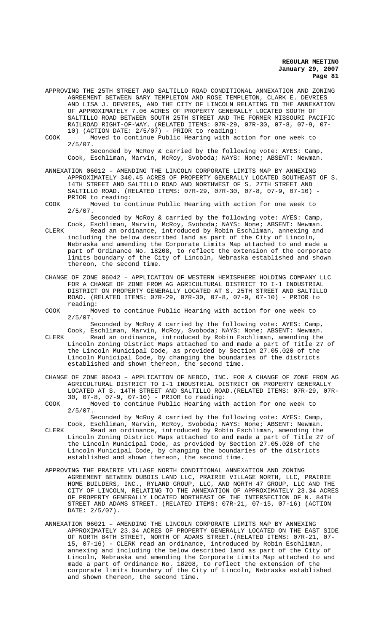APPROVING THE 25TH STREET AND SALTILLO ROAD CONDITIONAL ANNEXATION AND ZONING AGREEMENT BETWEEN GARY TEMPLETON AND ROSE TEMPLETON, CLARK E. DEVRIES AND LISA J. DEVRIES, AND THE CITY OF LINCOLN RELATING TO THE ANNEXATION OF APPROXIMATELY 7.06 ACRES OF PROPERTY GENERALLY LOCATED SOUTH OF SALTILLO ROAD BETWEEN SOUTH 25TH STREET AND THE FORMER MISSOURI PACIFIC RAILROAD RIGHT-OF-WAY. (RELATED ITEMS: 07R-29, 07R-30, 07-8, 07-9, 07- 10) (ACTION DATE: 2/5/07) - PRIOR to reading:

COOK Moved to continue Public Hearing with action for one week to 2/5/07. Seconded by McRoy & carried by the following vote: AYES: Camp, Cook, Eschliman, Marvin, McRoy, Svoboda; NAYS: None; ABSENT: Newman.

ANNEXATION 06012 – AMENDING THE LINCOLN CORPORATE LIMITS MAP BY ANNEXING APPROXIMATELY 340.45 ACRES OF PROPERTY GENERALLY LOCATED SOUTHEAST OF S. 14TH STREET AND SALTILLO ROAD AND NORTHWEST OF S. 27TH STREET AND SALTILLO ROAD. (RELATED ITEMS: 07R-29, 07R-30, 07-8, 07-9, 07-10) - PRIOR to reading:

COOK Moved to continue Public Hearing with action for one week to  $2/5/07$ .

Seconded by McRoy & carried by the following vote: AYES: Camp, Cook, Eschliman, Marvin, McRoy, Svoboda; NAYS: None; ABSENT: Newman.

CLERK Read an ordinance, introduced by Robin Eschliman, annexing and including the below described land as part of the City of Lincoln, Nebraska and amending the Corporate Limits Map attached to and made a part of Ordinance No. 18208, to reflect the extension of the corporate .<br>limits boundary of the City of Lincoln, Nebraska established and shown thereon, the second time.

- CHANGE OF ZONE 06042 APPLICATION OF WESTERN HEMISPHERE HOLDING COMPANY LLC FOR A CHANGE OF ZONE FROM AG AGRICULTURAL DISTRICT TO I-1 INDUSTRIAL DISTRICT ON PROPERTY GENERALLY LOCATED AT S. 25TH STREET AND SALTILLO ROAD. (RELATED ITEMS: 07R-29, 07R-30, 07-8, 07-9, 07-10) - PRIOR to reading:
- COOK Moved to continue Public Hearing with action for one week to 2/5/07.

Seconded by McRoy & carried by the following vote: AYES: Camp, Cook, Eschliman, Marvin, McRoy, Svoboda; NAYS: None; ABSENT: Newman.

CLERK Read an ordinance, introduced by Robin Eschliman, amending the Lincoln Zoning District Maps attached to and made a part of Title 27 of the Lincoln Municipal Code, as provided by Section 27.05.020 of the Lincoln Municipal Code, by changing the boundaries of the districts established and shown thereon, the second time.

CHANGE OF ZONE 06043 – APPLICATION OF NEBCO, INC. FOR A CHANGE OF ZONE FROM AG AGRICULTURAL DISTRICT TO I-1 INDUSTRIAL DISTRICT ON PROPERTY GENERALLY LOCATED AT S. 14TH STREET AND SALTILLO ROAD.(RELATED ITEMS: 07R-29, 07R-30, 07-8, 07-9, 07-10) - PRIOR to reading:

COOK Moved to continue Public Hearing with action for one week to  $2/5/07$ .

Seconded by McRoy & carried by the following vote: AYES: Camp, Cook, Eschliman, Marvin, McRoy, Svoboda; NAYS: None; ABSENT: Newman. CLERK Read an ordinance, introduced by Robin Eschliman, amending the Lincoln Zoning District Maps attached to and made a part of Title 27 of the Lincoln Municipal Code, as provided by Section 27.05.020 of the Lincoln Municipal Code, by changing the boundaries of the districts established and shown thereon, the second time.

- APPROVING THE PRAIRIE VILLAGE NORTH CONDITIONAL ANNEXATION AND ZONING AGREEMENT BETWEEN DUBOIS LAND LLC, PRAIRIE VILLAGE NORTH, LLC, PRAIRIE HOME BUILDERS, INC., RYLAND GROUP, LLC, AND NORTH 47 GROUP, LLC AND THE CITY OF LINCOLN, RELATING TO THE ANNEXATION OF APPROXIMATELY 23.34 ACRES OF PROPERTY GENERALLY LOCATED NORTHEAST OF THE INTERSECTION OF N. 84TH STREET AND ADAMS STREET. (RELATED ITEMS: 07R-21, 07-15, 07-16) (ACTION DATE: 2/5/07).
- ANNEXATION 06021 AMENDING THE LINCOLN CORPORATE LIMITS MAP BY ANNEXING APPROXIMATELY 23.34 ACRES OF PROPERTY GENERALLY LOCATED ON THE EAST SIDE OF NORTH 84TH STREET, NORTH OF ADAMS STREET.(RELATED ITEMS: 07R-21, 07- 15, 07-16) - CLERK read an ordinance, introduced by Robin Eschliman, annexing and including the below described land as part of the City of Lincoln, Nebraska and amending the Corporate Limits Map attached to and made a part of Ordinance No. 18208, to reflect the extension of the corporate limits boundary of the City of Lincoln, Nebraska established and shown thereon, the second time.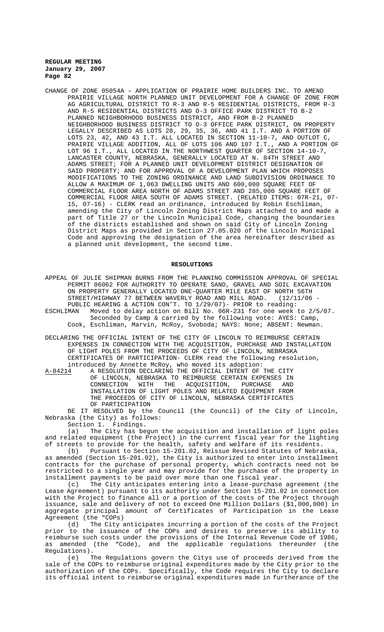CHANGE OF ZONE 05054A – APPLICATION OF PRAIRIE HOME BUILDERS INC. TO AMEND PRAIRIE VILLAGE NORTH PLANNED UNIT DEVELOPMENT FOR A CHANGE OF ZONE FROM AG AGRICULTURAL DISTRICT TO R-3 AND R-5 RESIDENTIAL DISTRICTS, FROM R-3 AND R-5 RESIDENTIAL DISTRICTS AND O-3 OFFICE PARK DISTRICT TO B-2 PLANNED NEIGHBORHOOD BUSINESS DISTRICT, AND FROM B-2 PLANNED NEIGHBORHOOD BUSINESS DISTRICT TO O-3 OFFICE PARK DISTRICT, ON PROPERTY LEGALLY DESCRIBED AS LOTS 28, 29, 35, 36, AND 41 I.T. AND A PORTION OF LOTS 23, 42, AND 43 I.T. ALL LOCATED IN SECTION 11-10-7, AND OUTLOT C, PRAIRIE VILLAGE ADDITION, ALL OF LOTS 106 AND 107 I.T., AND A PORTION OF LOT 96 I.T., ALL LOCATED IN THE NORTHWEST QUARTER OF SECTION 14-10-7, LANCASTER COUNTY, NEBRASKA, GENERALLY LOCATED AT N. 84TH STREET AND ADAMS STREET; FOR A PLANNED UNIT DEVELOPMENT DISTRICT DESIGNATION OF SAID PROPERTY; AND FOR APPROVAL OF A DEVELOPMENT PLAN WHICH PROPOSES MODIFICATIONS TO THE ZONING ORDINANCE AND LAND SUBDIVISION ORDINANCE TO ALLOW A MAXIMUM OF 1,063 DWELLING UNITS AND 600,000 SQUARE FEET OF COMMERCIAL FLOOR AREA NORTH OF ADAMS STREET AND 285,000 SQUARE FEET OF COMMERCIAL FLOOR AREA SOUTH OF ADAMS STREET. (RELATED ITEMS: 07R-21, 07- 15, 07-16) - CLERK read an ordinance, introduced by Robin Eschliman, amending the City of Lincoln Zoning District Maps attached to and made a part of Title 27 or the Lincoln Municipal Code, changing the boundaries of the districts established and shown on said City of Lincoln Zoning District Maps as provided in Section 27.05.020 of the Lincoln Municipal Code and approving the designation of the area hereinafter described as a planned unit development, the second time.

#### **RESOLUTIONS**

APPEAL OF JULIE SHIPMAN BURNS FROM THE PLANNING COMMISSION APPROVAL OF SPECIAL PERMIT 06062 FOR AUTHORITY TO OPERATE SAND, GRAVEL AND SOIL EXCAVATION ON PROPERTY GENERALLY LOCATED ONE-QUARTER MILE EAST OF NORTH 56TH STREET/HIGHWAY 77 BETWEEN WAVERLY ROAD AND MILL ROAD. (12/11/06 PUBLIC HEARING & ACTION CON'T. TO 1/29/07)- PRIOR to reading:<br>ESCHLIMAN Moved to delay action on Bill No. 06R-231 for one week Moved to delay action on Bill No. 06R-231 for one week to 2/5/07. Seconded by Camp & carried by the following vote: AYES: Camp, Cook, Eschliman, Marvin, McRoy, Svoboda; NAYS: None; ABSENT: Newman.

DECLARING THE OFFICIAL INTENT OF THE CITY OF LINCOLN TO REIMBURSE CERTAIN EXPENSES IN CONNECTION WITH THE ACQUISITION, PURCHASE AND INSTALLATION OF LIGHT POLES FROM THE PROCEEDS OF CITY OF LINCOLN, NEBRASKA CERTIFICATES OF PARTICIPATION- CLERK read the following resolution, introduced by Annette McRoy, who moved its adoption:

A-84214 A RESOLUTION DECLARING THE OFFICIAL INTENT OF THE CITY OF LINCOLN, NEBRASKA TO REIMBURSE CERTAIN EXPENSES IN CONNECTION WITH THE ACQUISITION, PURCHASE AND INSTALLATION OF LIGHT POLES AND RELATED EQUIPMENT FROM THE PROCEEDS OF CITY OF LINCOLN, NEBRASKA CERTIFICATES OF PARTICIPATION

BE IT RESOLVED by the Council (the Council) of the City of Lincoln, Nebraska (the City) as follows:

Section 1. Findings.

(a) The City has begun the acquisition and installation of light poles and related equipment (the Project) in the current fiscal year for the lighting of streets to provide for the health, safety and welfare of its residents.

(b) Pursuant to Section 15-201.02, Reissue Revised Statutes of Nebraska, as amended (Section 15-201.02), the City is authorized to enter into installment contracts for the purchase of personal property, which contracts need not be restricted to a single year and may provide for the purchase of the property in installment payments to be paid over more than one fiscal year.<br>(c) The City anticipates entering into a lease-purchase

The City anticipates entering into a lease-purchase agreement (the Lease Agreement) pursuant to its authority under Section 15-201.02 in connection with the Project to finance all or a portion of the costs of the Project through issuance, sale and delivery of not to exceed One Million Dollars (\$1,000,000) in aggregate principal amount of Certificates of Participation in the Lease Agreement (the "COPs)<br>(d) The City a

The City anticipates incurring a portion of the costs of the Project prior to the issuance of the COPs and desires to preserve its ability to reimburse such costs under the provisions of the Internal Revenue Code of 1986, as amended (the "Code), and the applicable regulations thereunder (the Regulations).

(e) The Regulations govern the Citys use of proceeds derived from the sale of the COPs to reimburse original expenditures made by the City prior to the authorization of the COPs. Specifically, the Code requires the City to declare its official intent to reimburse original expenditures made in furtherance of the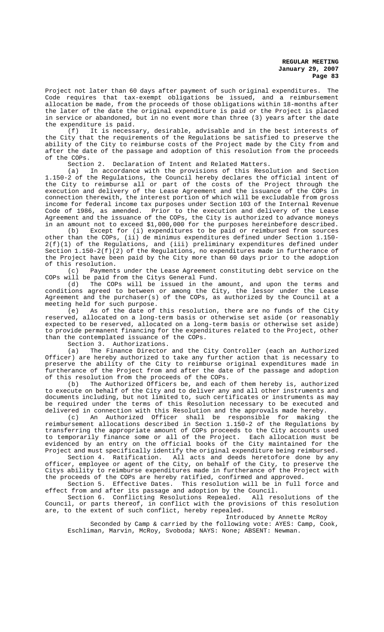Project not later than 60 days after payment of such original expenditures. The Code requires that tax-exempt obligations be issued, and a reimbursement allocation be made, from the proceeds of those obligations within 18-months after the later of the date the original expenditure is paid or the Project is placed in service or abandoned, but in no event more than three (3) years after the date the expenditure is paid.

(f) It is necessary, desirable, advisable and in the best interests of the City that the requirements of the Regulations be satisfied to preserve the ability of the City to reimburse costs of the Project made by the City from and after the date of the passage and adoption of this resolution from the proceeds of the COPs.

Section 2. Declaration of Intent and Related Matters.

(a) In accordance with the provisions of this Resolution and Section 1.150-2 of the Regulations, the Council hereby declares the official intent of the City to reimburse all or part of the costs of the Project through the execution and delivery of the Lease Agreement and the issuance of the COPs in connection therewith, the interest portion of which will be excludable from gross income for federal income tax purposes under Section 103 of the Internal Revenue Code of 1986, as amended. Prior to the execution and delivery of the Lease Agreement and the issuance of the COPs, the City is authorized to advance moneys in an amount not to exceed \$1,000,000 for the purposes hereinbefore described.

(b) Except for (i) expenditures to be paid or reimbursed from sources other than the COPs, (ii) de minimus expenditures defined under Section 1.150- 2(f)(1) of the Regulations, and (iii) preliminary expenditures defined under Section 1.150-2(f)(2) of the Regulations, no expenditures made in furtherance of the Project have been paid by the City more than 60 days prior to the adoption of this resolution.

(c) Payments under the Lease Agreement constituting debt service on the COPs will be paid from the Citys General Fund.

(d) The COPs will be issued in the amount, and upon the terms and conditions agreed to between or among the City, the lessor under the Lease Agreement and the purchaser(s) of the COPs, as authorized by the Council at a meeting held for such purpose.

(e) As of the date of this resolution, there are no funds of the City reserved, allocated on a long-term basis or otherwise set aside (or reasonably expected to be reserved, allocated on a long-term basis or otherwise set aside) to provide permanent financing for the expenditures related to the Project, other than the contemplated issuance of the COPs.

Section 3. Authorizations.

(a) The Finance Director and the City Controller (each an Authorized Officer) are hereby authorized to take any further action that is necessary to preserve the ability of the City to reimburse original expenditures made in furtherance of the Project from and after the date of the passage and adoption of this resolution from the proceeds of the COPs.

(b) The Authorized Officers be, and each of them hereby is, authorized to execute on behalf of the City and to deliver any and all other instruments and documents including, but not limited to, such certificates or instruments as may be required under the terms of this Resolution necessary to be executed and delivered in connection with this Resolution and the approvals made hereby.

(c) An Authorized Officer shall be responsible for making the reimbursement allocations described in Section 1.150-2 of the Regulations by transferring the appropriate amount of COPs proceeds to the City accounts used to temporarily finance some or all of the Project. Each allocation must be evidenced by an entry on the official books of the City maintained for the Project and must specifically identify the original expenditure being reimbursed.

Section 4. Ratification. All acts and deeds heretofore done by any officer, employee or agent of the City, on behalf of the City, to preserve the Citys ability to reimburse expenditures made in furtherance of the Project with the proceeds of the COPs are hereby ratified, confirmed and approved.

Section 5. Effective Dates. This resolution will be in full force and effect from and after its passage and adoption by the Council.

Section 6. Conflicting Resolutions Repealed. All resolutions of the Council, or parts thereof, in conflict with the provisions of this resolution are, to the extent of such conflict, hereby repealed.

Introduced by Annette McRoy

Seconded by Camp & carried by the following vote: AYES: Camp, Cook, Eschliman, Marvin, McRoy, Svoboda; NAYS: None; ABSENT: Newman.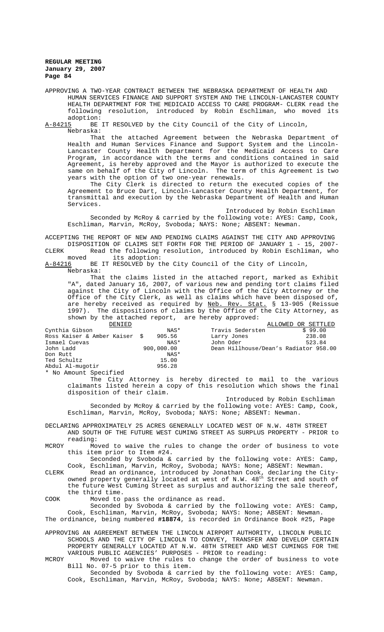APPROVING A TWO-YEAR CONTRACT BETWEEN THE NEBRASKA DEPARTMENT OF HEALTH AND HUMAN SERVICES FINANCE AND SUPPORT SYSTEM AND THE LINCOLN-LANCASTER COUNTY HEALTH DEPARTMENT FOR THE MEDICAID ACCESS TO CARE PROGRAM- CLERK read the following resolution, introduced by Robin Eschliman, who moved its adoption:<br><u>A-84215</u> BE

BE IT RESOLVED by the City Council of the City of Lincoln, Nebraska:

That the attached Agreement between the Nebraska Department of Health and Human Services Finance and Support System and the Lincoln-Lancaster County Health Department for the Medicaid Access to Care Program, in accordance with the terms and conditions contained in said Agreement, is hereby approved and the Mayor is authorized to execute the same on behalf of the City of Lincoln. The term of this Agreement is two years with the option of two one-year renewals.

The City Clerk is directed to return the executed copies of the Agreement to Bruce Dart, Lincoln-Lancaster County Health Department, for transmittal and execution by the Nebraska Department of Health and Human Services.

Introduced by Robin Eschliman

Seconded by McRoy & carried by the following vote: AYES: Camp, Cook, Eschliman, Marvin, McRoy, Svoboda; NAYS: None; ABSENT: Newman.

ACCEPTING THE REPORT OF NEW AND PENDING CLAIMS AGAINST THE CITY AND APPROVING DISPOSITION OF CLAIMS SET FORTH FOR THE PERIOD OF JANUARY 1 - 15, 2007-

CLERK Read the following resolution, introduced by Robin Eschliman, who<br>moved its adoption: its adoption:

A-84216 BE IT RESOLVED by the City Council of the City of Lincoln, Nebraska:

That the claims listed in the attached report, marked as Exhibit "A", dated January 16, 2007, of various new and pending tort claims filed against the City of Lincoln with the Office of the City Attorney or the Office of the City Clerk, as well as claims which have been disposed of, are hereby received as required by Neb. Rev. Stat. § 13-905 (Reissue 1997). The dispositions of claims by the Office of the City Attorney, as shown by the attached report, are hereby approved:

| DENIED                        |            |                                       | ALLOWED OR SETTLED |
|-------------------------------|------------|---------------------------------------|--------------------|
| Cynthia Gibson                | NAS*       | Travis Sedersten                      | \$99.00            |
| Ross Kaiser & Amber Kaiser \$ | 905.56     | Larry Jones                           | 238.08             |
| Ismael Cuevas                 | NAS*       | John Oder                             | 523.84             |
| John Ladd                     | 900,000.00 | Dean Hillhouse/Dean's Radiator 958.00 |                    |
| Don Rutt                      | NAS*       |                                       |                    |
| Ted Schultz                   | 15.00      |                                       |                    |
| Abdul Al-muqotir              | 956.28     |                                       |                    |
|                               |            |                                       |                    |

\* No Amount Specified

The City Attorney is hereby directed to mail to the various claimants listed herein a copy of this resolution which shows the final disposition of their claim.

Introduced by Robin Eschliman

Seconded by McRoy & carried by the following vote: AYES: Camp, Cook, Eschliman, Marvin, McRoy, Svoboda; NAYS: None; ABSENT: Newman.

DECLARING APPROXIMATELY 25 ACRES GENERALLY LOCATED WEST OF N.W. 48TH STREET AND SOUTH OF THE FUTURE WEST CUMING STREET AS SURPLUS PROPERTY - PRIOR to reading:

MCROY Moved to waive the rules to change the order of business to vote this item prior to Item #24.

Seconded by Svoboda & carried by the following vote: AYES: Camp, Cook, Eschliman, Marvin, McRoy, Svoboda; NAYS: None; ABSENT: Newman.

CLERK Read an ordinance, introduced by Jonathan Cook, declaring the Cityowned property generally located at west of N.W.  $48^{\text{th}}$  Street and south of the future West Cuming Street as surplus and authorizing the sale thereof, the third time.

COOK Moved to pass the ordinance as read.

Seconded by Svoboda & carried by the following vote: AYES: Camp, Cook, Eschliman, Marvin, McRoy, Svoboda; NAYS: None; ABSENT: Newman.

The ordinance, being numbered **#18874**, is recorded in Ordinance Book #25, Page

APPROVING AN AGREEMENT BETWEEN THE LINCOLN AIRPORT AUTHORITY, LINCOLN PUBLIC SCHOOLS AND THE CITY OF LINCOLN TO CONVEY, TRANSFER AND DEVELOP CERTAIN PROPERTY GENERALLY LOCATED AT N.W. 48TH STREET AND WEST CUMINGS FOR THE VARIOUS PUBLIC AGENCIES' PURPOSES - PRIOR to reading:

MCROY Moved to waive the rules to change the order of business to vote Bill No. 07-5 prior to this item.

Seconded by Svoboda & carried by the following vote: AYES: Camp, Cook, Eschliman, Marvin, McRoy, Svoboda; NAYS: None; ABSENT: Newman.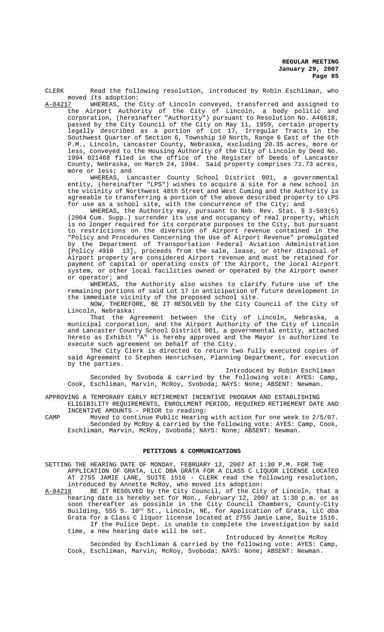CLERK Read the following resolution, introduced by Robin Eschliman, who moved its adoption:

A-84217 WHEREAS, the City of Lincoln conveyed, transferred and assigned to the Airport Authority of the City of Lincoln, a body politic and corporation, (hereinafter "Authority") pursuant to Resolution No. A46618, passed by the City Council of the City on May 11, 1959, certain property legally described as a portion of Lot 17, Irregular Tracts in the Southwest Quarter of Section 6, Township 10 North, Range 6 East of the 6th P.M., Lincoln, Lancaster County, Nebraska, excluding 20.35 acres, more or less, conveyed to the Housing Authority of the City of Lincoln by Deed No. 1994 021468 filed in the office of the Register of Deeds of Lancaster County, Nebraska, on March 24, 1994. Said property comprises 71.73 acres, more or less; and

WHEREAS, Lancaster County School District 001, a governmental entity, (hereinafter "LPS") wishes to acquire a site for a new school in the vicinity of Northwest 48th Street and West Cuming and the Authority is agreeable to transferring a portion of the above described property to LPS for use as a school site, with the concurrence of the City; and

WHEREAS, the Authority may, pursuant to Neb. Rev. Stat. § 3-503(5) (2004 Cum. Supp.) surrender its use and occupancy of real property, which is no longer required for its corporate purposes to the City, but pursuant to restrictions on the diversion of Airport revenue contained in the "Policy and Procedures Concerning the Use of Airport Revenue" promulgated by the Department of Transportation Federal Aviation Administration [Policy 4910 13], proceeds from the sale, lease, or other disposal of Airport property are considered Airport revenue and must be retained for payment of capital or operating costs of the Airport, the local Airport system, or other local facilities owned or operated by the Airport owner or operator; and

WHEREAS, the Authority also wishes to clarify future use of the remaining portions of said Lot 17 in anticipation of future development in the immediate vicinity of the proposed school site.

NOW, THEREFORE, BE IT RESOLVED by the City Council of the City of Lincoln, Nebraska:

That the Agreement between the City of Lincoln, Nebraska, a municipal corporation, and the Airport Authority of the City of Lincoln and Lancaster County School District 001, a governmental entity, attached hereto as Exhibit "A" is hereby approved and the Mayor is authorized to execute such agreement on behalf of the City.

The City Clerk is directed to return two fully executed copies of said Agreement to Stephen Henrichsen, Planning Department, for execution by the parties.

Introduced by Robin Eschliman Seconded by Svoboda & carried by the following vote: AYES: Camp, Cook, Eschliman, Marvin, McRoy, Svoboda; NAYS: None; ABSENT: Newman.

APPROVING A TEMPORARY EARLY RETIREMENT INCENTIVE PROGRAM AND ESTABLISHING

ELIGIBILITY REQUIREMENTS, ENROLLMENT PERIOD, REQUIRED RETIREMENT DATE AND INCENTIVE AMOUNTS - PRIOR to reading:

CAMP Moved to continue Public Hearing with action for one week to 2/5/07. Seconded by McRoy & carried by the following vote: AYES: Camp, Cook, Eschliman, Marvin, McRoy, Svoboda; NAYS: None; ABSENT: Newman.

# **PETITIONS & COMMUNICATIONS**

SETTING THE HEARING DATE OF MONDAY, FEBRUARY 12, 2007 AT 1:30 P.M. FOR THE APPLICATION OF GRATA, LLC DBA GRATA FOR A CLASS C LIQUOR LICENSE LOCATED AT 2755 JAMIE LANE, SUITE 1516 - CLERK read the following resolution, introduced by Annette McRoy, who moved its adoption:

A-84218 BE IT RESOLVED by the City Council, of the City of Lincoln, that a hearing date is hereby set for Mon., February 12, 2007 at 1:30 p.m. or as soon thereafter as possible in the City Council Chambers, County-City Building, 555 S. 10<sup>th</sup> St., Lincoln, NE, for Application of Grata, LLC dba Grata for a Class C liquor license located at 2755 Jamie Lane, Suite 1516. If the Police Dept. is unable to complete the investigation by said time, a new hearing date will be set.

Introduced by Annette McRoy Seconded by Eschliman & carried by the following vote: AYES: Camp, Cook, Eschliman, Marvin, McRoy, Svoboda; NAYS: None; ABSENT: Newman.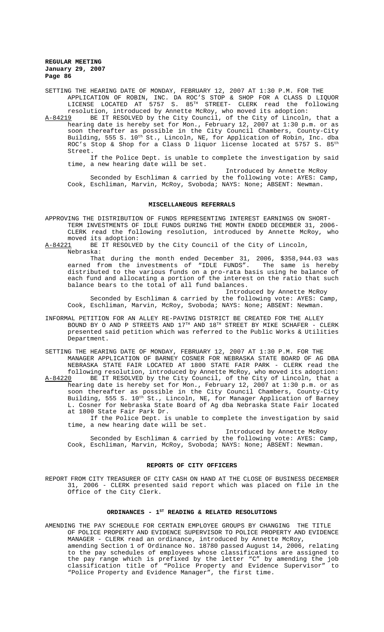SETTING THE HEARING DATE OF MONDAY, FEBRUARY 12, 2007 AT 1:30 P.M. FOR THE APPLICATION OF ROBIN, INC. DA ROC'S STOP & SHOP FOR A CLASS D LIQUOR LICENSE LOCATED AT 5757 S.  $85^\mathrm{TH}$  STREET- CLERK read the following resolution, introduced by Annette McRoy, who moved its adoption:

A-84219 BE IT RESOLVED by the City Council, of the City of Lincoln, that a hearing date is hereby set for Mon., February 12, 2007 at 1:30 p.m. or as soon thereafter as possible in the City Council Chambers, County-City Building, 555 S. 10<sup>th</sup> St., Lincoln, NE, for Application of Robin, Inc. dba ROC's Stop & Shop for a Class D liquor license located at 5757 S.  $85^{\rm th}$ Street.

If the Police Dept. is unable to complete the investigation by said time, a new hearing date will be set.

Introduced by Annette McRoy Seconded by Eschliman & carried by the following vote: AYES: Camp, Cook, Eschliman, Marvin, McRoy, Svoboda; NAYS: None; ABSENT: Newman.

#### **MISCELLANEOUS REFERRALS**

APPROVING THE DISTRIBUTION OF FUNDS REPRESENTING INTEREST EARNINGS ON SHORT-TERM INVESTMENTS OF IDLE FUNDS DURING THE MONTH ENDED DECEMBER 31, 2006- CLERK read the following resolution, introduced by Annette McRoy, who moved its adoption:<br>A-84221 BE IT RESOLVE

BE IT RESOLVED by the City Council of the City of Lincoln, Nebraska:

That during the month ended December 31, 2006, \$358,944.03 was earned from the investments of "IDLE FUNDS". The same is hereby distributed to the various funds on a pro-rata basis using he balance of each fund and allocating a portion of the interest on the ratio that such balance bears to the total of all fund balances.

Introduced by Annette McRoy Seconded by Eschliman & carried by the following vote: AYES: Camp, Cook, Eschliman, Marvin, McRoy, Svoboda; NAYS: None; ABSENT: Newman.

INFORMAL PETITION FOR AN ALLEY RE-PAVING DISTRICT BE CREATED FOR THE ALLEY BOUND BY O AND P STREETS AND 17<sup>TH</sup> AND 18<sup>TH</sup> STREET BY MIKE SCHAFER - CLERK presented said petition which was referred to the Public Works & Utilities Department.

SETTING THE HEARING DATE OF MONDAY, FEBRUARY 12, 2007 AT 1:30 P.M. FOR THE MANAGER APPLICATION OF BARNEY COSNER FOR NEBRASKA STATE BOARD OF AG DBA NEBRASKA STATE FAIR LOCATED AT 1800 STATE FAIR PARK - CLERK read the following resolution, introduced by Annette McRoy, who moved its adoption:<br>A-84220 BE IT RESOLVED by the City Council, of the City of Lincoln, that a

A-84220 BE IT RESOLVED by the City Council, of the City of Lincoln, that a hearing date is hereby set for Mon., February 12, 2007 at 1:30 p.m. or as soon thereafter as possible in the City Council Chambers, County-City Building, 555 S. 10th St., Lincoln, NE, for Manager Application of Barney L. Cosner for Nebraska State Board of Ag dba Nebraska State Fair located at 1800 State Fair Park Dr.

If the Police Dept. is unable to complete the investigation by said time, a new hearing date will be set.

Introduced by Annette McRoy Seconded by Eschliman & carried by the following vote: AYES: Camp, Cook, Eschliman, Marvin, McRoy, Svoboda; NAYS: None; ABSENT: Newman.

### **REPORTS OF CITY OFFICERS**

REPORT FROM CITY TREASURER OF CITY CASH ON HAND AT THE CLOSE OF BUSINESS DECEMBER 31, 2006 - CLERK presented said report which was placed on file in the Office of the City Clerk.

#### ORDINANCES - 1<sup>st</sup> READING & RELATED RESOLUTIONS

AMENDING THE PAY SCHEDULE FOR CERTAIN EMPLOYEE GROUPS BY CHANGING THE TITLE OF POLICE PROPERTY AND EVIDENCE SUPERVISOR TO POLICE PROPERTY AND EVIDENCE MANAGER - CLERK read an ordinance, introduced by Annette McRoy, amending Section 1 of Ordinance No. 18780 passed August 14, 2006, relating to the pay schedules of employees whose classifications are assigned to the pay range which is prefixed by the letter "C" by amending the job classification title of "Police Property and Evidence Supervisor" to "Police Property and Evidence Manager", the first time.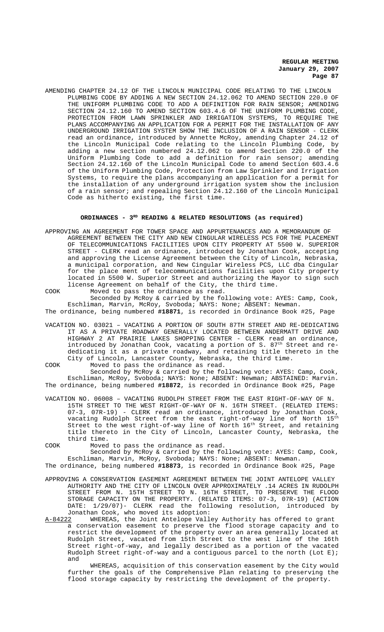AMENDING CHAPTER 24.12 OF THE LINCOLN MUNICIPAL CODE RELATING TO THE LINCOLN PLUMBING CODE BY ADDING A NEW SECTION 24.12.062 TO AMEND SECTION 220.0 OF THE UNIFORM PLUMBING CODE TO ADD A DEFINITION FOR RAIN SENSOR; AMENDING SECTION 24.12.160 TO AMEND SECTION 603.4.6 OF THE UNIFORM PLUMBING CODE, PROTECTION FROM LAWN SPRINKLER AND IRRIGATION SYSTEMS, TO REQUIRE THE PLANS ACCOMPANYING AN APPLICATION FOR A PERMIT FOR THE INSTALLATION OF ANY UNDERGROUND IRRIGATION SYSTEM SHOW THE INCLUSION OF A RAIN SENSOR - CLERK read an ordinance, introduced by Annette McRoy, amending Chapter 24.12 of the Lincoln Municipal Code relating to the Lincoln Plumbing Code, by adding a new section numbered 24.12.062 to amend Section 220.0 of the Uniform Plumbing Code to add a definition for rain sensor; amending Section 24.12.160 of the Lincoln Municipal Code to amend Section 603.4.6 of the Uniform Plumbing Code, Protection from Law Sprinkler and Irrigation Systems, to require the plans accompanying an application for a permit for the installation of any underground irrigation system show the inclusion of a rain sensor; and repealing Section 24.12.160 of the Lincoln Municipal Code as hitherto existing, the first time.

# **ORDINANCES - 3RD READING & RELATED RESOLUTIONS (as required)**

- APPROVING AN AGREEMENT FOR TOWER SPACE AND APPURTENANCES AND A MEMORANDUM OF AGREEMENT BETWEEN THE CITY AND NEW CINGULAR WIRELESS PCS FOR THE PLACEMENT OF TELECOMMUNICATIONS FACILITIES UPON CITY PROPERTY AT 5500 W. SUPERIOR STREET - CLERK read an ordinance, introduced by Jonathan Cook, accepting and approving the License Agreement between the City of Lincoln, Nebraska, a municipal corporation, and New Cingular Wireless PCS, LLC dba Cingular for the place ment of telecommunications facilities upon City property located in 5500 W. Superior Street and authorizing the Mayor to sign such license Agreement on behalf of the City, the third time.
- COOK Moved to pass the ordinance as read. Seconded by McRoy & carried by the following vote: AYES: Camp, Cook, Eschliman, Marvin, McRoy, Svoboda; NAYS: None; ABSENT: Newman.

The ordinance, being numbered **#18871**, is recorded in Ordinance Book #25, Page

VACATION NO. 03021 – VACATING A PORTION OF SOUTH 87TH STREET AND RE-DEDICATING IT AS A PRIVATE ROADWAY GENERALLY LOCATED BETWEEN ANDERMATT DRIVE AND HIGHWAY 2 AT PRAIRIE LAKES SHOPPING CENTER - CLERK read an ordinance, introduced by Jonathan Cook, vacating a portion of S.  $87<sup>th</sup>$  Street and rededicating it as a private roadway, and retaining title thereto in the City of Lincoln, Lancaster County, Nebraska, the third time.

COOK Moved to pass the ordinance as read.

Seconded by McRoy & carried by the following vote: AYES: Camp, Cook, Eschliman, McRoy, Svoboda; NAYS: None; ABSENT: Newman; ABSTAINED: Marvin. The ordinance, being numbered **#18872**, is recorded in Ordinance Book #25, Page

VACATION NO. 06008 – VACATING RUDOLPH STREET FROM THE EAST RIGHT-OF-WAY OF N. 15TH STREET TO THE WEST RIGHT-OF-WAY OF N. 16TH STREET. (RELATED ITEMS: 07-3, 07R-19) - CLERK read an ordinance, introduced by Jonathan Cook, vacating Rudolph Street from the east right-of-way line of North  $15^{\rm th}$ Street to the west right-of-way line of North  $16^{\rm th}$  Street, and retaining title thereto in the City of Lincoln, Lancaster County, Nebraska, the third time.

COOK Moved to pass the ordinance as read.

Seconded by McRoy & carried by the following vote: AYES: Camp, Cook, Eschliman, Marvin, McRoy, Svoboda; NAYS: None; ABSENT: Newman.

The ordinance, being numbered **#18873**, is recorded in Ordinance Book #25, Page

APPROVING A CONSERVATION EASEMENT AGREEMENT BETWEEN THE JOINT ANTELOPE VALLEY AUTHORITY AND THE CITY OF LINCOLN OVER APPROXIMATELY .14 ACRES IN RUDOLPH STREET FROM N. 15TH STREET TO N. 16TH STREET, TO PRESERVE THE FLOOD STORAGE CAPACITY ON THE PROPERTY. (RELATED ITEMS: 07-3, 07R-19) (ACTION DATE: 1/29/07)- CLERK read the following resolution, introduced by Jonathan Cook, who moved its adoption:<br>A-84222 WHEREAS, the Joint Antelope Vall

WHEREAS, the Joint Antelope Valley Authority has offered to grant a conservation easement to preserve the flood storage capacity and to restrict the development of the property over an area generally located at Rudolph Street, vacated from 15th Street to the west line of the 16th Street right-of-way, and legally described as a portion of the vacated Rudolph Street right-of-way and a contiguous parcel to the north (Lot E); and

WHEREAS, acquisition of this conservation easement by the City would further the goals of the Comprehensive Plan relating to preserving the flood storage capacity by restricting the development of the property.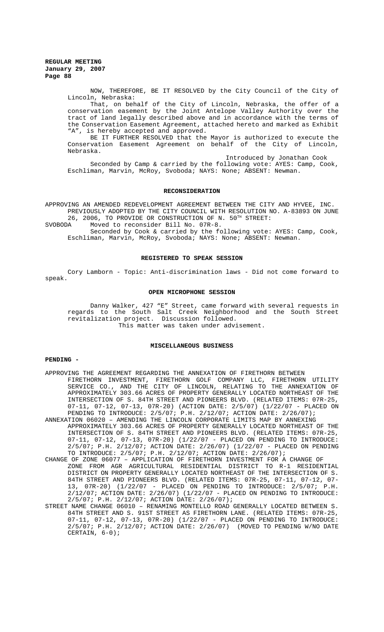NOW, THEREFORE, BE IT RESOLVED by the City Council of the City of Lincoln, Nebraska:

That, on behalf of the City of Lincoln, Nebraska, the offer of a conservation easement by the Joint Antelope Valley Authority over the tract of land legally described above and in accordance with the terms of the Conservation Easement Agreement, attached hereto and marked as Exhibit "A", is hereby accepted and approved.

BE IT FURTHER RESOLVED that the Mayor is authorized to execute the Conservation Easement Agreement on behalf of the City of Lincoln, Nebraska.

Introduced by Jonathan Cook Seconded by Camp & carried by the following vote: AYES: Camp, Cook, Eschliman, Marvin, McRoy, Svoboda; NAYS: None; ABSENT: Newman.

#### **RECONSIDERATION**

APPROVING AN AMENDED REDEVELOPMENT AGREEMENT BETWEEN THE CITY AND HYVEE, INC. PREVIOUSLY ADOPTED BY THE CITY COUNCIL WITH RESOLUTION NO. A-83893 ON JUNE

26, 2006, TO PROVIDE OR CONSTRUCTION OF N.  $50^{TH}$  STREET:<br>SVOBODA Moved to reconsider Bill No.  $07R-8$ . Moved to reconsider Bill No. 07R-8.

Seconded by Cook & carried by the following vote: AYES: Camp, Cook, Eschliman, Marvin, McRoy, Svoboda; NAYS: None; ABSENT: Newman.

#### **REGISTERED TO SPEAK SESSION**

Cory Lamborn - Topic: Anti-discrimination laws - Did not come forward to speak.

## **OPEN MICROPHONE SESSION**

Danny Walker, 427 "E" Street, came forward with several requests in regards to the South Salt Creek Neighborhood and the South Street revitalization project. Discussion followed. This matter was taken under advisement.

# **MISCELLANEOUS BUSINESS**

## **PENDING -**

- APPROVING THE AGREEMENT REGARDING THE ANNEXATION OF FIRETHORN BETWEEN FIRETHORN INVESTMENT, FIRETHORN GOLF COMPANY LLC, FIRETHORN UTILITY SERVICE CO., AND THE CITY OF LINCOLN, RELATING TO THE ANNEXATION OF APPROXIMATELY 303.66 ACRES OF PROPERTY GENERALLY LOCATED NORTHEAST OF THE INTERSECTION OF S. 84TH STREET AND PIONEERS BLVD. (RELATED ITEMS: 07R-25, 07-11, 07-12, 07-13, 07R-20) (ACTION DATE: 2/5/07) (1/22/07 - PLACED ON PENDING TO INTRODUCE: 2/5/07; P.H. 2/12/07; ACTION DATE: 2/26/07);
- ANNEXATION 06020 AMENDING THE LINCOLN CORPORATE LIMITS MAP BY ANNEXING APPROXIMATELY 303.66 ACRES OF PROPERTY GENERALLY LOCATED NORTHEAST OF THE INTERSECTION OF S. 84TH STREET AND PIONEERS BLVD. (RELATED ITEMS: 07R-25, 07-11, 07-12, 07-13, 07R-20) (1/22/07 - PLACED ON PENDING TO INTRODUCE: 2/5/07; P.H. 2/12/07; ACTION DATE: 2/26/07) (1/22/07 - PLACED ON PENDING TO INTRODUCE: 2/5/07; P.H. 2/12/07; ACTION DATE: 2/26/07);
- CHANGE OF ZONE 06077 APPLICATION OF FIRETHORN INVESTMENT FOR A CHANGE OF ZONE FROM AGR AGRICULTURAL RESIDENTIAL DISTRICT TO R-1 RESIDENTIAL DISTRICT ON PROPERTY GENERALLY LOCATED NORTHEAST OF THE INTERSECTION OF S. 84TH STREET AND PIONEERS BLVD. (RELATED ITEMS: 07R-25, 07-11, 07-12, 07- 13, 07R-20) (1/22/07 - PLACED ON PENDING TO INTRODUCE: 2/5/07; P.H. 2/12/07; ACTION DATE: 2/26/07) (1/22/07 - PLACED ON PENDING TO INTRODUCE: 2/5/07; P.H. 2/12/07; ACTION DATE: 2/26/07);
- STREET NAME CHANGE 06010 RENAMING MONTELLO ROAD GENERALLY LOCATED BETWEEN S. 84TH STREET AND S. 91ST STREET AS FIRETHORN LANE. (RELATED ITEMS: 07R-25, 07-11, 07-12, 07-13, 07R-20) (1/22/07 - PLACED ON PENDING TO INTRODUCE: 2/5/07; P.H. 2/12/07; ACTION DATE: 2/26/07) (MOVED TO PENDING W/NO DATE CERTAIN, 6-0);